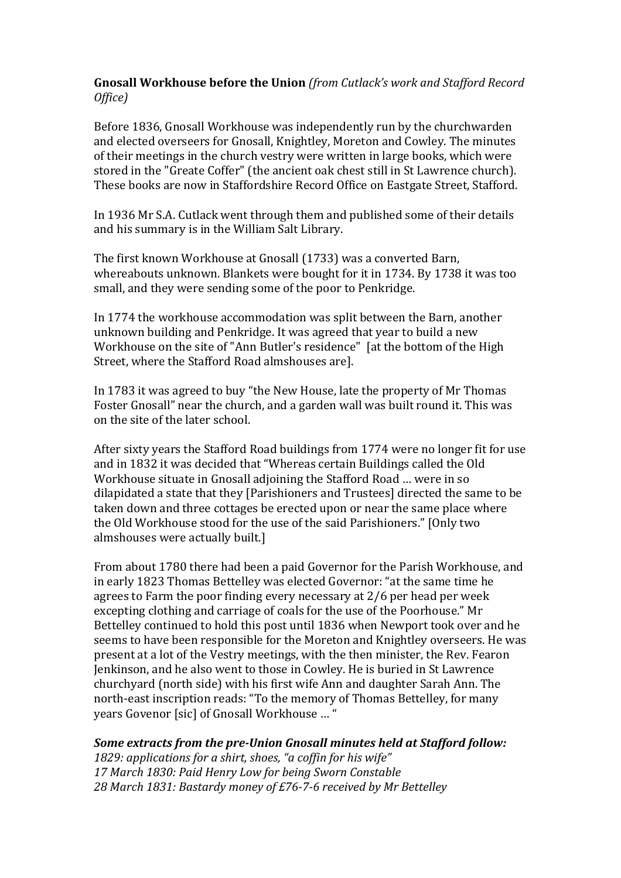## **Gnosall Workhouse before the Union** (from Cutlack's work and Stafford Record *Office)*

Before 1836, Gnosall Workhouse was independently run by the churchwarden and elected overseers for Gnosall, Knightley, Moreton and Cowley. The minutes of their meetings in the church vestry were written in large books, which were stored in the "Greate Coffer" (the ancient oak chest still in St Lawrence church). These books are now in Staffordshire Record Office on Eastgate Street, Stafford.

In 1936 Mr S.A. Cutlack went through them and published some of their details and his summary is in the William Salt Library.

The first known Workhouse at Gnosall (1733) was a converted Barn, whereabouts unknown. Blankets were bought for it in 1734. By 1738 it was too small, and they were sending some of the poor to Penkridge.

In 1774 the workhouse accommodation was split between the Barn, another unknown building and Penkridge. It was agreed that year to build a new Workhouse on the site of "Ann Butler's residence" [at the bottom of the High Street, where the Stafford Road almshouses are].

In 1783 it was agreed to buy "the New House, late the property of Mr Thomas Foster Gnosall" near the church, and a garden wall was built round it. This was on the site of the later school.

After sixty years the Stafford Road buildings from 1774 were no longer fit for use and in 1832 it was decided that "Whereas certain Buildings called the Old Workhouse situate in Gnosall adjoining the Stafford Road ... were in so dilapidated a state that they [Parishioners and Trustees] directed the same to be taken down and three cottages be erected upon or near the same place where the Old Workhouse stood for the use of the said Parishioners." [Only two almshouses were actually built.]

From about 1780 there had been a paid Governor for the Parish Workhouse, and in early 1823 Thomas Bettelley was elected Governor: "at the same time he agrees to Farm the poor finding every necessary at  $2/6$  per head per week excepting clothing and carriage of coals for the use of the Poorhouse." Mr Bettelley continued to hold this post until 1836 when Newport took over and he seems to have been responsible for the Moreton and Knightley overseers. He was present at a lot of the Vestry meetings, with the then minister, the Rev. Fearon Jenkinson, and he also went to those in Cowley. He is buried in St Lawrence churchyard (north side) with his first wife Ann and daughter Sarah Ann. The north-east inscription reads: "To the memory of Thomas Bettelley, for many vears Govenor [sic] of Gnosall Workhouse ... "

## **Some extracts from the pre-Union Gnosall minutes held at Stafford follow:**

1829: applications for a shirt, shoes, "a coffin for his wife" *17 March 1830: Paid Henry Low for being Sworn Constable* 28 March 1831: Bastardy money of £76-7-6 received by Mr Bettelley